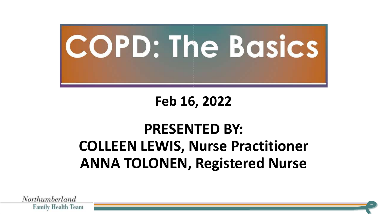

### **Feb 16, 2022**

### **PRESENTED BY: COLLEEN LEWIS, Nurse Practitioner ANNA TOLONEN, Registered Nurse**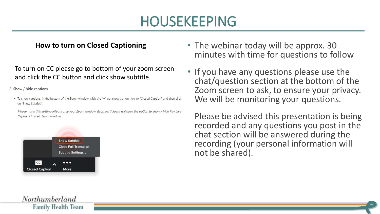### HOUSEKEEPING

#### **How to turn on Closed Captioning**

To turn on CC please go to bottom of your zoom screen and click the CC button and click show subtitle.

2. Show / hide captions

. To show captions: in the bottom of the Zoom window, click the "^" up arrow button next to "Closed Caption" and then click on "Show Subtitle".

Please note: this setting affects only your Zoom window. Each participant will have the option to show / hide Rev Live Captions in their Zoom window.



- The webinar today will be approx. 30 minutes with time for questions to follow
- If you have any questions please use the chat/question section at the bottom of the Zoom screen to ask, to ensure your privacy. We will be monitoring your questions.

• Please be advised this presentation is being recorded and any questions you post in the chat section will be answered during the recording (your personal information will not be shared).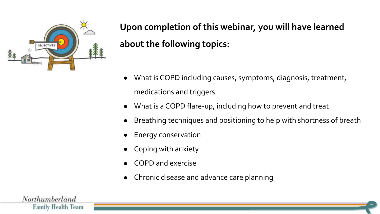

**Upon completion of this webinar, you will have learned about the following topics:**

- What is COPD including causes, symptoms, diagnosis, treatment, medications and triggers
- What is a COPD flare-up, including how to prevent and treat
- Breathing techniques and positioning to help with shortness of breath
- **Energy conservation**
- Coping with anxiety
- COPD and exercise
- Chronic disease and advance care planning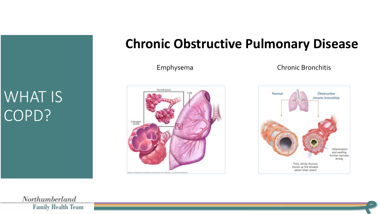### WHAT IS COPD?

### **Chronic Obstructive Pulmonary Disease**



#### Emphysema Chronic Bronchitis

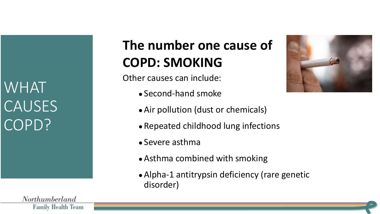WHAT **CAUSES** COPD?

### **The number one cause of COPD: SMOKING**

Other causes can include:

- Second-hand smoke
- Air pollution (dust or chemicals)
- Repeated childhood lung infections
- Severe asthma
- Asthma combined with smoking
- Alpha-1 antitrypsin deficiency (rare genetic disorder)



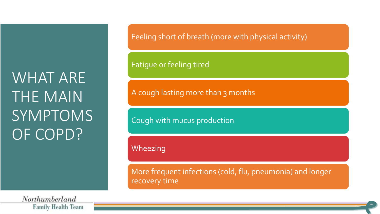## WHAT ARE THE MAIN SYMPTOMS OF COPD?

Northumberland **Family Health Team**  Feeling short of breath (more with physical activity)

Fatigue or feeling tired

A cough lasting more than 3 months

Cough with mucus production

Wheezing

More frequent infections (cold, flu, pneumonia) and longer recovery time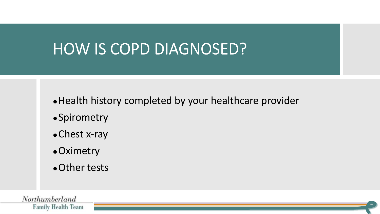### **HOW IS COPD DIAGNOSED?**

• Health history completed by your healthcare provider

- ●Spirometry
- Chest x-ray
- Oximetry
- Other tests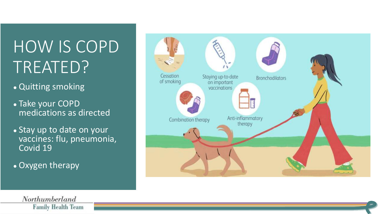## HOW IS COPD TREATED?

- Quitting smoking
- Take your COPD medications as directed
- Stay up to date on your vaccines: flu, pneumonia, Covid 19
- Oxygen therapy

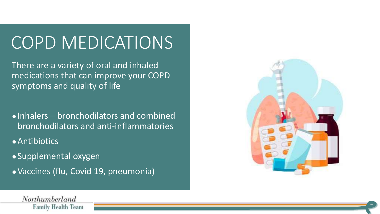## COPD MEDICATIONS

There are a variety of oral and inhaled medications that can improve your COPD symptoms and quality of life

● Inhalers – bronchodilators and combined bronchodilators and anti-inflammatories

● Antibiotics

- Supplemental oxygen
- Vaccines (flu, Covid 19, pneumonia)

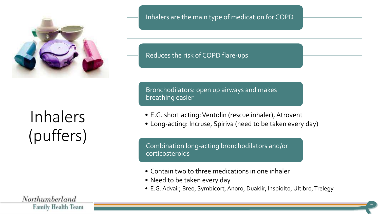

## Inhalers (puffers)

Northumberland **Family Health Team**  Inhalers are the main type of medication for COPD

Reduces the risk of COPD flare-ups

Bronchodilators: open up airways and makes breathing easier

- E.G. short acting: Ventolin (rescue inhaler), Atrovent
- Long-acting: Incruse, Spiriva (need to be taken every day)

Combination long-acting bronchodilators and/or corticosteroids

- Contain two to three medications in one inhaler
- Need to be taken every day
- E.G. Advair, Breo, Symbicort, Anoro, Duaklir, Inspiolto, Ultibro, Trelegy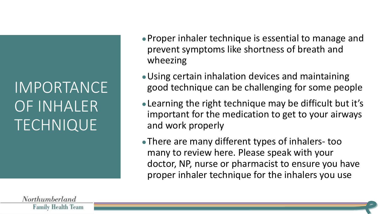## IMPORTANCE OF INHALER TECHNIQUE

- Proper inhaler technique is essential to manage and prevent symptoms like shortness of breath and wheezing
- Using certain inhalation devices and maintaining good technique can be challenging for some people
- ●Learning the right technique may be difficult but it's important for the medication to get to your airways and work properly
- There are many different types of inhalers- too many to review here. Please speak with your doctor, NP, nurse or pharmacist to ensure you have proper inhaler technique for the inhalers you use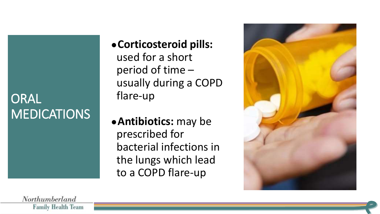### ORAL **MEDICATIONS**

- ●**Corticosteroid pills:**  used for a short period of time – usually during a COPD flare-up
- ●**Antibiotics:** may be prescribed for bacterial infections in the lungs which lead to a COPD flare-up

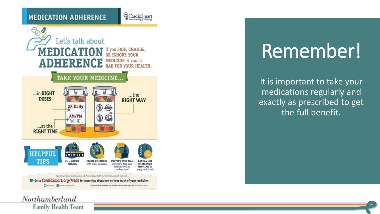CardioSmart



# Remember!

It is important to take your medications regularly and exactly as prescribed to get the full benefit.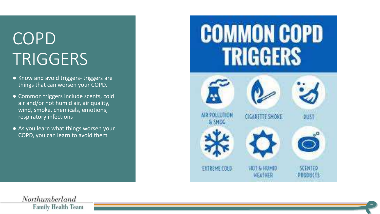## COPD TRIGGERS

- Know and avoid triggers- triggers are things that can worsen your COPD.
- Common triggers include scents, cold air and/or hot humid air, air quality, wind, smoke, chemicals, emotions, respiratory infections
- As you learn what things worsen your COPD, you can learn to avoid them

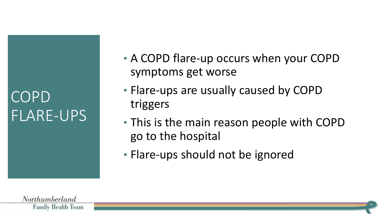### COPD FLARE-UPS

- A COPD flare-up occurs when your COPD symptoms get worse
- Flare-ups are usually caused by COPD triggers
- This is the main reason people with COPD go to the hospital
- Flare-ups should not be ignored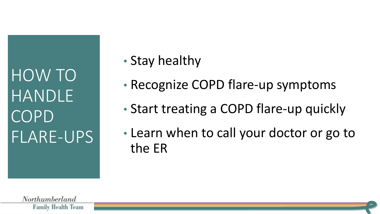HOW TO HANDLE COPD FLARE-UPS

- Stay healthy
- Recognize COPD flare-up symptoms
- Start treating a COPD flare-up quickly
- Learn when to call your doctor or go to the ER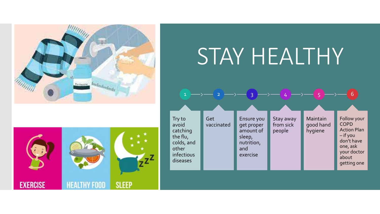



# STAY HEALTHY



1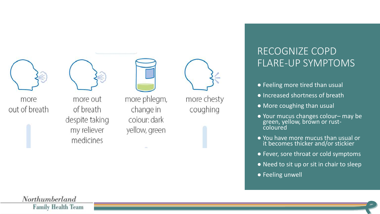

more out of breath

more out of breath despite taking my reliever medicines

more phlegm, change in colour: dark yellow, green



more chesty coughing

#### RECOGNIZE COPD FLARE-UP SYMPTOMS

- Feeling more tired than usual
- Increased shortness of breath
- More coughing than usual
- Your mucus changes colour– may be green, yellow, brown or rustcoloured
- You have more mucus than usual or it becomes thicker and/or stickier
- Fever, sore throat or cold symptoms
- Need to sit up or sit in chair to sleep
- Feeling unwell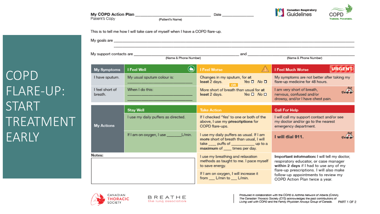### COPD FLARE-UP: START TREATMENT EARLY

My goals are <u>experience</u> and the contract of the contract of the contract of the contract of the contract of the contract of the contract of the contract of the contract of the contract of the contract of the contract of My support contacts are and (Name & Phone Number) (Name & Phone Number)  $\bigodot$ **URGEN I Feel Well** I Feel Worse My Symptoms **I Feel Much Worse** My usual sputum colour is: Changes in my sputum, for at My symptoms are not better after taking my I have sputum. least 2 days. flare-up medicine for 48 hours.  $Yes \Box No \Box$ I feel short of When I do this: I am very short of breath, More short of breath than usual for at  $7 - 0.0$ least 2 days. nervous, confused and/or breath. Yes  $\Box$  No  $\Box$ drowsy, and/or I have chest pain. **Stay Well Take Action Call For Help** If I checked 'Yes' to one or both of the I use my daily puffers as directed. I will call my support contact and/or see above, I use my prescriptions for my doctor and/or go to the nearest **My Actions** COPD flare-ups. emergency department. If I am on oxygen, I use Umin. I use my daily puffers as usual. If I am I will dial 911. more short of breath than usual, I will take \_\_\_\_ puffs of \_\_\_\_\_\_\_\_\_\_\_\_ up to a maximum of \_\_\_\_ times per day. Notes: I use my breathing and relaxation Important information: I will tell my doctor, methods as taught to me. I pace myself respiratory educator, or case manager within 2 days if I had to use any of my to save energy. flare-up prescriptions. I will also make If I am on oxygen, I will increase it follow-up appointments to review my from L/min to L/min. COPD Action Plan twice a year.

Date



My COPD Action Plan

Patient's Copy

(Patient's Name)

This is to tell me how I will take care of myself when I have a COPD flare-up.

**Canadian Respiratory** Guidelines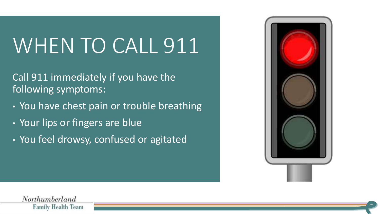# WHEN TO CALL 911

Call 911 immediately if you have the following symptoms:

- You have chest pain or trouble breathing
- Your lips or fingers are blue
- You feel drowsy, confused or agitated

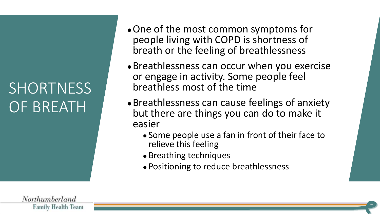## **SHORTNESS** OF BREATH

- One of the most common symptoms for people living with COPD is shortness of breath or the feeling of breathlessness
- Breathlessness can occur when you exercise or engage in activity. Some people feel breathless most of the time
- Breathlessness can cause feelings of anxiety but there are things you can do to make it easier
	- Some people use a fan in front of their face to relieve this feeling
	- Breathing techniques
	- Positioning to reduce breathlessness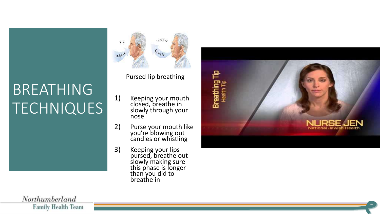## BREATHING **TECHNIQUES**

 $1.2.3.4$ Inhale

Pursed-lip breathing

- 1) Keeping your mouth closed, breathe in slowly through your nose
- 2) Purse your mouth like you're blowing out candles or whistling
- 3) Keeping your lips pursed, breathe out slowly making sure this phase is longer than you did to breathe in

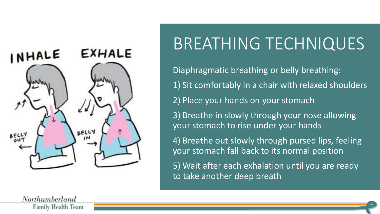

## BREATHING TECHNIQUES

Diaphragmatic breathing or belly breathing: 1) Sit comfortably in a chair with relaxed shoulders 2) Place your hands on your stomach

3) Breathe in slowly through your nose allowing your stomach to rise under your hands

4) Breathe out slowly through pursed lips, feeling your stomach fall back to its normal position

5) Wait after each exhalation until you are ready to take another deep breath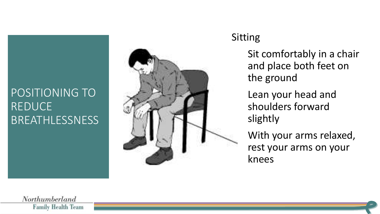### POSITIONING TO REDUCE BREATHLESSNESS



#### Sitting

Sit comfortably in a chair and place both feet on the ground

Lean your head and shoulders forward slightly

With your arms relaxed, rest your arms on your knees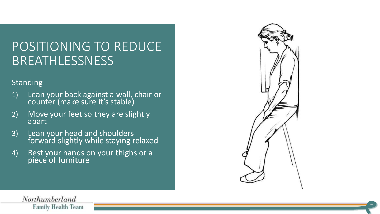### POSITIONING TO REDUCE BREATHLESSNESS

#### Standing

- 1) Lean your back against a wall, chair or counter (make sure it's stable)
- 2) Move your feet so they are slightly apart
- 3) Lean your head and shoulders forward slightly while staying relaxed
- 4) Rest your hands on your thighs or a piece of furniture

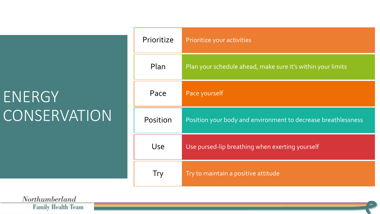### **ENERGY** CONSERVATION

| Prioritize | Prioritize your activities                                    |
|------------|---------------------------------------------------------------|
| Plan       | Plan your schedule ahead, make sure it's within your limits   |
| Pace       | Pace yourself                                                 |
| Position   | Position your body and environment to decrease breathlessness |
| Use        | Use pursed-lip breathing when exerting yourself               |
| Try        | Try to maintain a positive attitude                           |

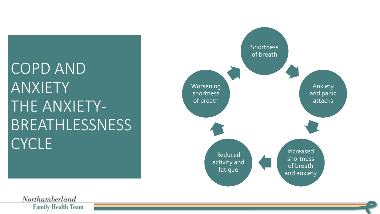## COPD AND ANXIETY THE ANXIETY-BREATHLESSNESS **CYCLE**

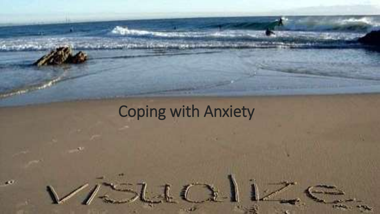## Coping with Anxiety

give in 100 methods are a come in the work with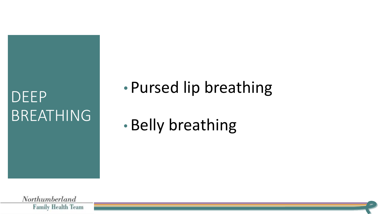### DEEP BREATHING

• Pursed lip breathing

• Belly breathing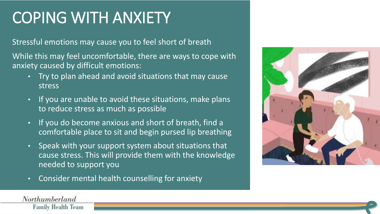### COPING WITH ANXIETY

Stressful emotions may cause you to feel short of breath

While this may feel uncomfortable, there are ways to cope with anxiety caused by difficult emotions:

- Try to plan ahead and avoid situations that may cause stress
- If you are unable to avoid these situations, make plans to reduce stress as much as possible
- If you do become anxious and short of breath, find a comfortable place to sit and begin pursed lip breathing
- Speak with your support system about situations that cause stress. This will provide them with the knowledge needed to support you
- Consider mental health counselling for anxiety

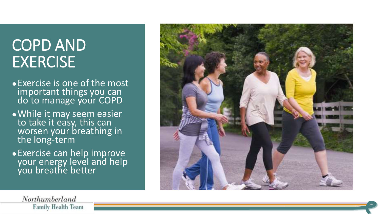### COPD AND **EXERCISE**

- ●Exercise is one of the most important things you can do to manage your COPD
- ●While it may seem easier to take it easy, this can worsen your breathing in the long-term
- ●Exercise can help improve your energy level and help you breathe better

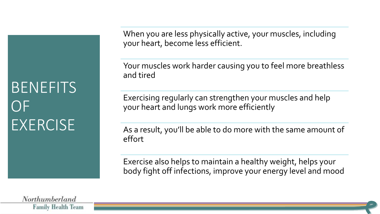### **BENEFITS**  $() \vdash$ **EXERCISE**

When you are less physically active, your muscles, including your heart, become less efficient.

Your muscles work harder causing you to feel more breathless and tired

Exercising regularly can strengthen your muscles and help your heart and lungs work more efficiently

As a result, you'll be able to do more with the same amount of effort

Exercise also helps to maintain a healthy weight, helps your body fight off infections, improve your energy level and mood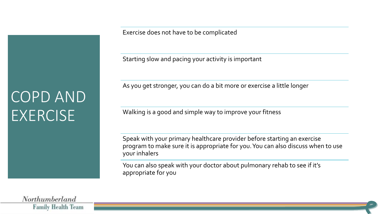COPD AND **EXERCISE** 

Exercise does not have to be complicated

Starting slow and pacing your activity is important

As you get stronger, you can do a bit more or exercise a little longer

Walking is a good and simple way to improve your fitness

Speak with your primary healthcare provider before starting an exercise program to make sure it is appropriate for you. You can also discuss when to use your inhalers

You can also speak with your doctor about pulmonary rehab to see if it's appropriate for you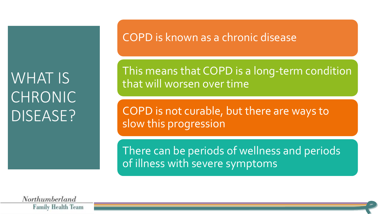### WHAT IS CHRONIC DISEASE?

COPD is known as a chronic disease

This means that COPD is a long-term condition that will worsen over time

COPD is not curable, but there are ways to slow this progression

There can be periods of wellness and periods of illness with severe symptoms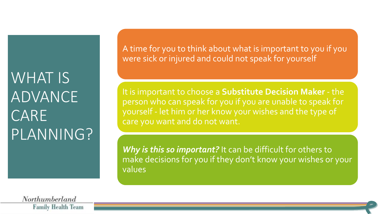WHAT IS ADVANCE CARE PLANNING? A time for you to think about what is important to you if you were sick or injured and could not speak for yourself

It is important to choose a **Substitute Decision Maker** - the person who can speak for you if you are unable to speak for yourself - let him or her know your wishes and the type of care you want and do not want.

Why is this so important? It can be difficult for others to make decisions for you if they don't know your wishes or your values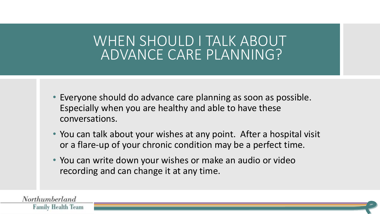### WHEN SHOULD I TALK ABOUT ADVANCE CARE PLANNING?

- Everyone should do advance care planning as soon as possible. Especially when you are healthy and able to have these conversations.
- You can talk about your wishes at any point. After a hospital visit or a flare-up of your chronic condition may be a perfect time.
- You can write down your wishes or make an audio or video recording and can change it at any time.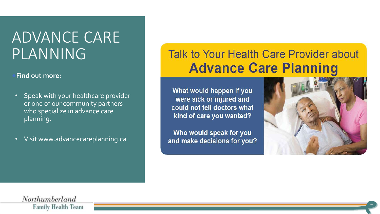### ADVANCE CARE PLANNING

#### **Find out more:**

- Speak with your healthcare provider or one of our community partners who specialize in advance care planning.
- Visit www.advancecareplanning.ca

### Talk to Your Health Care Provider about **Advance Care Planning**

What would happen if you were sick or injured and could not tell doctors what kind of care you wanted?

Who would speak for you and make decisions for you?

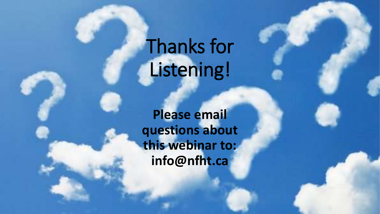# Thanks for Listening!

**Please email questions about this webinar to: info@nfht.ca**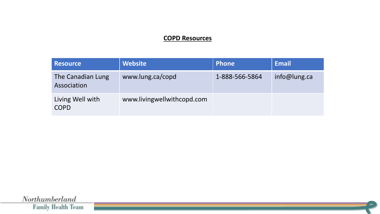#### **COPD Resources**

| <b>Resource</b>                  | <b>Website</b>             | Phone          | <b>Email</b> |
|----------------------------------|----------------------------|----------------|--------------|
| The Canadian Lung<br>Association | www.lung.ca/copd           | 1-888-566-5864 | info@lung.ca |
| Living Well with<br><b>COPD</b>  | www.livingwellwithcopd.com |                |              |

 $\label{thm:optimal} \begin{minipage}{.4\linewidth} \begin{minipage}{.4\linewidth} \begin{tabular}{l} \textbf{North} \textbf{un} \textbf{berland} \end{tabular} \end{minipage}$ **Family Health Team**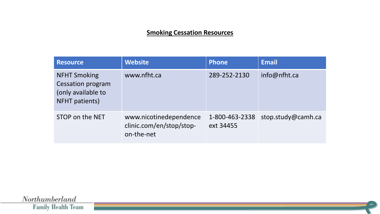#### **Smoking Cessation Resources**

| <b>Resource</b>                                                                         | <b>Website</b>                                                   | <b>Phone</b>                | <b>Email</b>       |
|-----------------------------------------------------------------------------------------|------------------------------------------------------------------|-----------------------------|--------------------|
| <b>NFHT Smoking</b><br><b>Cessation program</b><br>(only available to<br>NFHT patients) | www.nfht.ca                                                      | 289-252-2130                | info@nfht.ca       |
| STOP on the NET                                                                         | www.nicotinedependence<br>clinic.com/en/stop/stop-<br>on-the-net | 1-800-463-2338<br>ext 34455 | stop.study@camh.ca |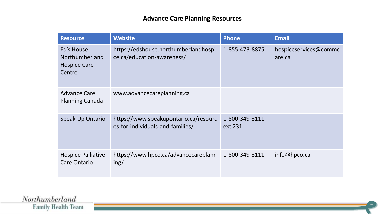#### **Advance Care Planning Resources**

| <b>Resource</b>                                               | <b>Website</b>                                                            | <b>Phone</b>              | <b>Email</b>                    |
|---------------------------------------------------------------|---------------------------------------------------------------------------|---------------------------|---------------------------------|
| Ed's House<br>Northumberland<br><b>Hospice Care</b><br>Centre | https://edshouse.northumberlandhospi<br>ce.ca/education-awareness/        | 1-855-473-8875            | hospiceservices@commc<br>are.ca |
| <b>Advance Care</b><br><b>Planning Canada</b>                 | www.advancecareplanning.ca                                                |                           |                                 |
| <b>Speak Up Ontario</b>                                       | https://www.speakupontario.ca/resourc<br>es-for-individuals-and-families/ | 1-800-349-3111<br>ext 231 |                                 |
| <b>Hospice Palliative</b><br><b>Care Ontario</b>              | https://www.hpco.ca/advancecareplann<br>ing/                              | 1-800-349-3111            | info@hpco.ca                    |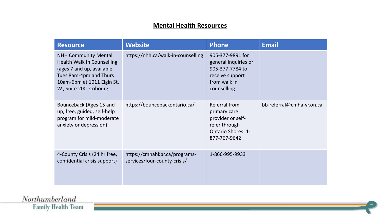#### **Mental Health Resources**

| <b>Resource</b>                                                                                                                                                          | <b>Website</b>                                                | <b>Phone</b>                                                                                                     | <b>Email</b>              |
|--------------------------------------------------------------------------------------------------------------------------------------------------------------------------|---------------------------------------------------------------|------------------------------------------------------------------------------------------------------------------|---------------------------|
| <b>NHH Community Mental</b><br>Health Walk In Counselling<br>(ages 7 and up, available<br>Tues 8am-4pm and Thurs<br>10am-6pm at 1011 Elgin St.<br>W., Suite 200, Cobourg | https://nhh.ca/walk-in-counselling                            | 905-377-9891 for<br>general inquiries or<br>905-377-7784 to<br>receive support<br>from walk in<br>counselling    |                           |
| Bounceback (Ages 15 and<br>up, free, guided, self-help<br>program for mild-moderate<br>anxiety or depression)                                                            | https://bouncebackontario.ca/                                 | Referral from<br>primary care<br>provider or self-<br>refer through<br><b>Ontario Shores: 1-</b><br>877-767-9642 | bb-referral@cmha-yr.on.ca |
| 4-County Crisis (24 hr free,<br>confidential crisis support)                                                                                                             | https://cmhahkpr.ca/programs-<br>services/four-county-crisis/ | 1-866-995-9933                                                                                                   |                           |